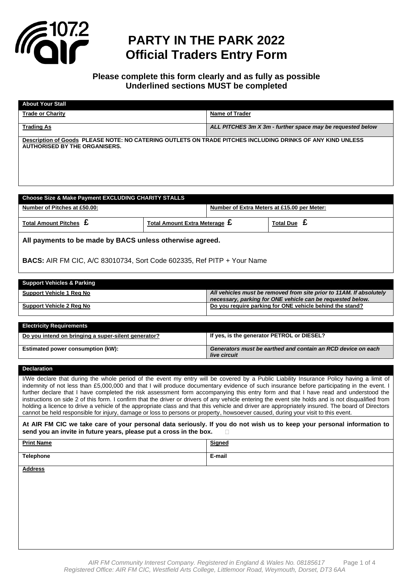

### **PARTY IN THE PARK 2022 Official Traders Entry Form**

### **Please complete this form clearly and as fully as possible Underlined sections MUST be completed**

| <b>About Your Stall</b>                                                                                                                            |                                                            |
|----------------------------------------------------------------------------------------------------------------------------------------------------|------------------------------------------------------------|
| <b>Trade or Charity</b>                                                                                                                            | <b>Name of Trader</b>                                      |
| <b>Trading As</b>                                                                                                                                  | ALL PITCHES 3m X 3m - further space may be requested below |
| Description of Goods PLEASE NOTE: NO CATERING OUTLETS ON TRADE PITCHES INCLUDING DRINKS OF ANY KIND UNLESS<br><b>AUTHORISED BY THE ORGANISERS.</b> |                                                            |
|                                                                                                                                                    |                                                            |

| <b>Choose Size &amp; Make Payment EXCLUDING CHARITY STALLS</b>         |                                                       |                                             |                  |  |
|------------------------------------------------------------------------|-------------------------------------------------------|---------------------------------------------|------------------|--|
| Number of Pitches at £50.00:                                           |                                                       | Number of Extra Meters at £15.00 per Meter: |                  |  |
| Total Amount Pitches $\boldsymbol{\mathsf{E}}$                         | Total Amount Extra Meterage $\boldsymbol{\mathsf{E}}$ |                                             | <b>Total Due</b> |  |
| All payments to be made by BACS unless otherwise agreed.               |                                                       |                                             |                  |  |
| BACS: AIR FM CIC, A/C 83010734, Sort Code 602335, Ref PITP + Your Name |                                                       |                                             |                  |  |

| <b>Support Vehicles &amp; Parking</b> |                                                                                                                                   |
|---------------------------------------|-----------------------------------------------------------------------------------------------------------------------------------|
| Support Vehicle 1 Reg No              | All vehicles must be removed from site prior to 11AM. If absolutely<br>necessary, parking for ONE vehicle can be requested below. |
| Support Vehicle 2 Reg No              | Do you require parking for ONE vehicle behind the stand?                                                                          |

| <b>Electricity Requirements</b>                     |                                                                              |
|-----------------------------------------------------|------------------------------------------------------------------------------|
| Do you intend on bringing a super-silent generator? | If yes, is the generator PETROL or DIESEL?                                   |
| Estimated power consumption (kW):                   | Generators must be earthed and contain an RCD device on each<br>live circuit |

#### **Declaration**

I/We declare that during the whole period of the event my entry will be covered by a Public Liability Insurance Policy having a limit of indemnity of not less than £5,000,000 and that I will produce documentary evidence of such insurance before participating in the event. I further declare that I have completed the risk assessment form accompanying this entry form and that I have read and understood the instructions on side 2 of this form. I confirm that the driver or drivers of any vehicle entering the event site holds and is not disqualified from holding a licence to drive a vehicle of the appropriate class and that this vehicle and driver are appropriately insured. The board of Directors cannot be held responsible for injury, damage or loss to persons or property, howsoever caused, during your visit to this event.

**At AIR FM CIC we take care of your personal data seriously. If you do not wish us to keep your personal information to send you an invite in future years, please put a cross in the box.** 

| <b>Print Name</b> | <b>Signed</b> |
|-------------------|---------------|
| <b>Telephone</b>  | E-mail        |

**Address**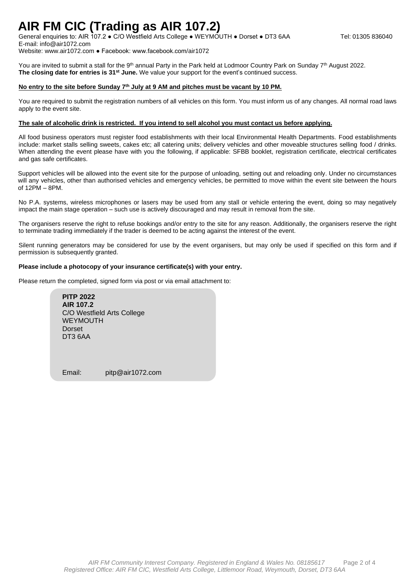## **AIR FM CIC (Trading as AIR 107.2)**

General enquiries to: AIR 107.2 • C/O Westfield Arts College • WEYMOUTH • Dorset • DT3 6AA Tel: 01305 836040 E-mail: info@air1072.com

Website: www.air1072.com ● Facebook: www.facebook.com/air1072

You are invited to submit a stall for the 9<sup>th</sup> annual Party in the Park held at Lodmoor Country Park on Sunday 7<sup>th</sup> August 2022. **The closing date for entries is 31st June.** We value your support for the event's continued success.

#### **No entry to the site before Sunday 7 th July at 9 AM and pitches must be vacant by 10 PM.**

You are required to submit the registration numbers of all vehicles on this form. You must inform us of any changes. All normal road laws apply to the event site.

#### **The sale of alcoholic drink is restricted. If you intend to sell alcohol you must contact us before applying.**

All food business operators must register food establishments with their local Environmental Health Departments. Food establishments include: market stalls selling sweets, cakes etc; all catering units; delivery vehicles and other moveable structures selling food / drinks. When attending the event please have with you the following, if applicable: SFBB booklet, registration certificate, electrical certificates and gas safe certificates.

Support vehicles will be allowed into the event site for the purpose of unloading, setting out and reloading only. Under no circumstances will any vehicles, other than authorised vehicles and emergency vehicles, be permitted to move within the event site between the hours of 12PM – 8PM.

No P.A. systems, wireless microphones or lasers may be used from any stall or vehicle entering the event, doing so may negatively impact the main stage operation – such use is actively discouraged and may result in removal from the site.

The organisers reserve the right to refuse bookings and/or entry to the site for any reason. Additionally, the organisers reserve the right to terminate trading immediately if the trader is deemed to be acting against the interest of the event.

Silent running generators may be considered for use by the event organisers, but may only be used if specified on this form and if permission is subsequently granted.

#### **Please include a photocopy of your insurance certificate(s) with your entry.**

Please return the completed, signed form via post or via email attachment to:

**PITP 2022 AIR 107.2** C/O Westfield Arts College WEYMOUTH Dorset DT3 6AA

Email: pitp@air1072.com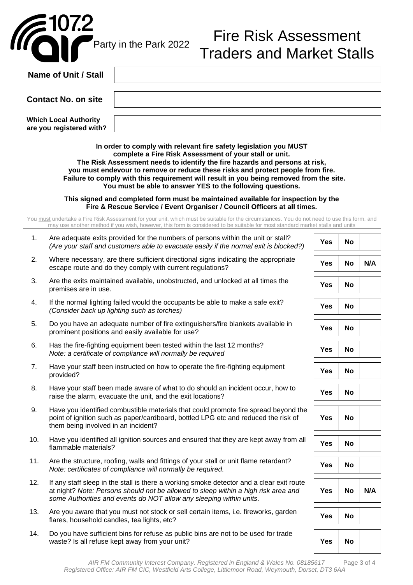

lla

# Fire Risk Assessment Traders and Market Stalls

|     | Name of Unit / Stall                                                                                                                                                                                                                                                                                                                                                                                                                                   |            |           |     |  |  |
|-----|--------------------------------------------------------------------------------------------------------------------------------------------------------------------------------------------------------------------------------------------------------------------------------------------------------------------------------------------------------------------------------------------------------------------------------------------------------|------------|-----------|-----|--|--|
|     | <b>Contact No. on site</b>                                                                                                                                                                                                                                                                                                                                                                                                                             |            |           |     |  |  |
|     | <b>Which Local Authority</b><br>are you registered with?                                                                                                                                                                                                                                                                                                                                                                                               |            |           |     |  |  |
|     | In order to comply with relevant fire safety legislation you MUST<br>complete a Fire Risk Assessment of your stall or unit.<br>The Risk Assessment needs to identify the fire hazards and persons at risk,<br>you must endevour to remove or reduce these risks and protect people from fire.<br>Failure to comply with this requirement will result in you being removed from the site.<br>You must be able to answer YES to the following questions. |            |           |     |  |  |
|     | This signed and completed form must be maintained available for inspection by the<br>Fire & Rescue Service / Event Organiser / Council Officers at all times.                                                                                                                                                                                                                                                                                          |            |           |     |  |  |
|     | You must undertake a Fire Risk Assessment for your unit, which must be suitable for the circumstances. You do not need to use this form, and<br>may use another method if you wish, however, this form is considered to be suitable for most standard market stalls and units                                                                                                                                                                          |            |           |     |  |  |
| 1.  | Are adequate exits provided for the numbers of persons within the unit or stall?<br>(Are your staff and customers able to evacuate easily if the normal exit is blocked?)                                                                                                                                                                                                                                                                              | <b>Yes</b> | <b>No</b> |     |  |  |
| 2.  | Where necessary, are there sufficient directional signs indicating the appropriate<br>escape route and do they comply with current regulations?                                                                                                                                                                                                                                                                                                        | <b>Yes</b> | No        | N/A |  |  |
| 3.  | Are the exits maintained available, unobstructed, and unlocked at all times the<br>premises are in use.                                                                                                                                                                                                                                                                                                                                                | <b>Yes</b> | No        |     |  |  |
| 4.  | If the normal lighting failed would the occupants be able to make a safe exit?<br>(Consider back up lighting such as torches)                                                                                                                                                                                                                                                                                                                          | <b>Yes</b> | <b>No</b> |     |  |  |
| 5.  | Do you have an adequate number of fire extinguishers/fire blankets available in<br>prominent positions and easily available for use?                                                                                                                                                                                                                                                                                                                   | <b>Yes</b> | No        |     |  |  |
| 6.  | Has the fire-fighting equipment been tested within the last 12 months?<br>Note: a certificate of compliance will normally be required                                                                                                                                                                                                                                                                                                                  | Yes        | <b>No</b> |     |  |  |
| 7.  | Have your staff been instructed on how to operate the fire-fighting equipment<br>provided?                                                                                                                                                                                                                                                                                                                                                             | <b>Yes</b> | No        |     |  |  |
| 8.  | Have your staff been made aware of what to do should an incident occur, how to<br>raise the alarm, evacuate the unit, and the exit locations?                                                                                                                                                                                                                                                                                                          | <b>Yes</b> | No        |     |  |  |
| 9.  | Have you identified combustible materials that could promote fire spread beyond the<br>point of ignition such as paper/cardboard, bottled LPG etc and reduced the risk of<br>them being involved in an incident?                                                                                                                                                                                                                                       | <b>Yes</b> | No        |     |  |  |
| 10. | Have you identified all ignition sources and ensured that they are kept away from all<br>flammable materials?                                                                                                                                                                                                                                                                                                                                          | <b>Yes</b> | No        |     |  |  |
| 11. | Are the structure, roofing, walls and fittings of your stall or unit flame retardant?<br>Note: certificates of compliance will normally be required.                                                                                                                                                                                                                                                                                                   | Yes        | <b>No</b> |     |  |  |
| 12. | If any staff sleep in the stall is there a working smoke detector and a clear exit route<br>at night? Note: Persons should not be allowed to sleep within a high risk area and<br>some Authorities and events do NOT allow any sleeping within units.                                                                                                                                                                                                  | <b>Yes</b> | <b>No</b> | N/A |  |  |
| 13. | Are you aware that you must not stock or sell certain items, i.e. fireworks, garden<br>flares, household candles, tea lights, etc?                                                                                                                                                                                                                                                                                                                     | Yes        | No        |     |  |  |
| 14. | Do you have sufficient bins for refuse as public bins are not to be used for trade<br>waste? Is all refuse kept away from your unit?                                                                                                                                                                                                                                                                                                                   | <b>Yes</b> | <b>No</b> |     |  |  |

*AIR FM Community Interest Company. Registered in England & Wales No. 08185617* Page 3 of 4 *Registered Office: AIR FM CIC, Westfield Arts College, Littlemoor Road, Weymouth, Dorset, DT3 6AA*

 $\mathcal{L}$